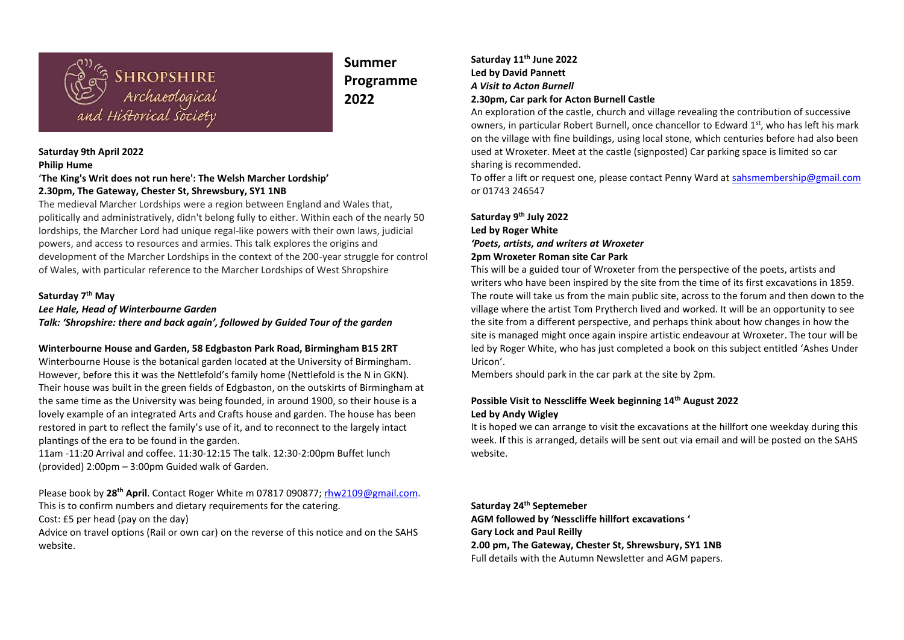

# **Summer Programme 2022**

#### **Saturday 9th April 2022 Philip Hume**

## '**The King's Writ does not run here': The Welsh Marcher Lordship' 2.30pm, The Gateway, Chester St, Shrewsbury, SY1 1NB**

The medieval Marcher Lordships were a region between England and Wales that, politically and administratively, didn't belong fully to either. Within each of the nearly 50 lordships, the Marcher Lord had unique regal-like powers with their own laws, judicial powers, and access to resources and armies. This talk explores the origins and development of the Marcher Lordships in the context of the 200-year struggle for control of Wales, with particular reference to the Marcher Lordships of West Shropshire

### **Saturday 7th May**

*Lee Hale, Head of Winterbourne Garden*

*Talk: 'Shropshire: there and back again', followed by Guided Tour of the garden*

#### **Winterbourne House and Garden, 58 Edgbaston Park Road, Birmingham B15 2RT**

Winterbourne House is the botanical garden located at the University of Birmingham. However, before this it was the Nettlefold's family home (Nettlefold is the N in GKN). Their house was built in the green fields of Edgbaston, on the outskirts of Birmingham at the same time as the University was being founded, in around 1900, so their house is a lovely example of an integrated Arts and Crafts house and garden. The house has been restored in part to reflect the family's use of it, and to reconnect to the largely intact plantings of the era to be found in the garden.

11am -11:20 Arrival and coffee. 11:30-12:15 The talk. 12:30-2:00pm Buffet lunch (provided) 2:00pm – 3:00pm Guided walk of Garden.

Please book by **28th April**. Contact Roger White m 07817 090877; [rhw2109@gmail.com.](mailto:rhw2109@gmail.com) This is to confirm numbers and dietary requirements for the catering. Cost: £5 per head (pay on the day)

Advice on travel options (Rail or own car) on the reverse of this notice and on the SAHS website.

### **Saturday 11th June 2022 Led by David Pannett** *A Visit to Acton Burnell* **2.30pm, Car park for Acton Burnell Castle**

An exploration of the castle, church and village revealing the contribution of successive owners, in particular Robert Burnell, once chancellor to Edward 1st, who has left his mark on the village with fine buildings, using local stone, which centuries before had also been used at Wroxeter. Meet at the castle (signposted) Car parking space is limited so car sharing is recommended.

To offer a lift or request one, please contact Penny Ward at [sahsmembership@gmail.com](mailto:sahsmembership@gmail.com) or 01743 246547

**Saturday 9 th July 2022 Led by Roger White** *'Poets, artists, and writers at Wroxeter*  **2pm Wroxeter Roman site Car Park**

This will be a guided tour of Wroxeter from the perspective of the poets, artists and writers who have been inspired by the site from the time of its first excavations in 1859. The route will take us from the main public site, across to the forum and then down to the village where the artist Tom Prytherch lived and worked. It will be an opportunity to see the site from a different perspective, and perhaps think about how changes in how the site is managed might once again inspire artistic endeavour at Wroxeter. The tour will be led by Roger White, who has just completed a book on this subject entitled 'Ashes Under Uricon'.

Members should park in the car park at the site by 2pm.

### **Possible Visit to Nesscliffe Week beginning 14th August 2022 Led by Andy Wigley**

It is hoped we can arrange to visit the excavations at the hillfort one weekday during this week. If this is arranged, details will be sent out via email and will be posted on the SAHS website.

**Saturday 24th Septemeber AGM followed by 'Nesscliffe hillfort excavations ' Gary Lock and Paul Reilly 2.00 pm, The Gateway, Chester St, Shrewsbury, SY1 1NB** Full details with the Autumn Newsletter and AGM papers.